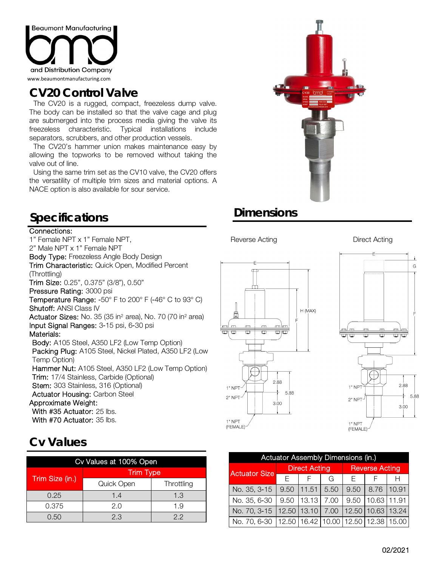

# **CV20 Control Valve**

 The CV20 is a rugged, compact, freezeless dump valve. The body can be installed so that the valve cage and plug are submerged into the process media giving the valve its freezeless characteristic. Typical installations include separators, scrubbers, and other production vessels.

 The CV20's hammer union makes maintenance easy by allowing the topworks to be removed without taking the valve out of line.

 Using the same trim set as the CV10 valve, the CV20 offers the versatility of multiple trim sizes and material options. A NACE option is also available for sour service.

# **Specifications Dimensions**

## Connections:

1" Female NPT x 1" Female NPT, 2" Male NPT x 1" Female NPT Body Type: Freezeless Angle Body Design Trim Characteristic: Quick Open, Modified Percent (Throttling) Trim Size: 0.25", 0.375" (3/8"), 0.50" Pressure Rating: 3000 psi Temperature Range: -50° F to 200° F (-46° C to 93° C) Shutoff: ANSI Class IV **Actuator Sizes:** No. 35 (35 in<sup>2</sup> area), No. 70 (70 in<sup>2</sup> area) Input Signal Ranges: 3-15 psi, 6-30 psi Materials: Body: A105 Steel, A350 LF2 (Low Temp Option) Packing Plug: A105 Steel, Nickel Plated, A350 LF2 (Low Temp Option) Hammer Nut: A105 Steel, A350 LF2 (Low Temp Option) Trim: 17/4 Stainless, Carbide (Optional) Stem: 303 Stainless, 316 (Optional) Actuator Housing: Carbon Steel Approximate Weight: With #35 Actuator: 25 lbs. With #70 Actuator: 35 lbs.

## **Cv Values**

| Cv Values at 100% Open |                  |            |  |  |  |  |  |
|------------------------|------------------|------------|--|--|--|--|--|
| Trim Size (in.)        | <b>Trim Type</b> |            |  |  |  |  |  |
|                        | Quick Open       | Throttling |  |  |  |  |  |
| 0.25                   | 1.4              | 1.3        |  |  |  |  |  |
| 0.375                  | 2.0              | 1.9        |  |  |  |  |  |
| 0.50                   | 2.3              | 22         |  |  |  |  |  |

### Reverse Acting **Direct Acting**





(FEMALE)

1" NPT (FEMALE)

| <b>Actuator Assembly Dimensions (in.)</b> |       |                      |       |                       |       |       |  |  |  |
|-------------------------------------------|-------|----------------------|-------|-----------------------|-------|-------|--|--|--|
| <b>Actuator Size</b>                      |       | <b>Direct Acting</b> |       | <b>Reverse Acting</b> |       |       |  |  |  |
|                                           | F     | G                    |       | F                     |       |       |  |  |  |
| No. 35, 3-15                              | 9.50  | 11.51                | 5.50  | 9.50                  | 8.76  | 10.91 |  |  |  |
| No. 35, 6-30                              | 9.50  | 13.13                | 7.00  | 9.50                  | 10.63 | 11.91 |  |  |  |
| No. 70, 3-15                              | 12.50 | 13.10                | 7.00  | 12.50                 | 10.63 | 13.24 |  |  |  |
| No. 70, 6-30                              | 12.50 | 16.42                | 10.00 | 12.50                 | 12.38 | 15.00 |  |  |  |



G